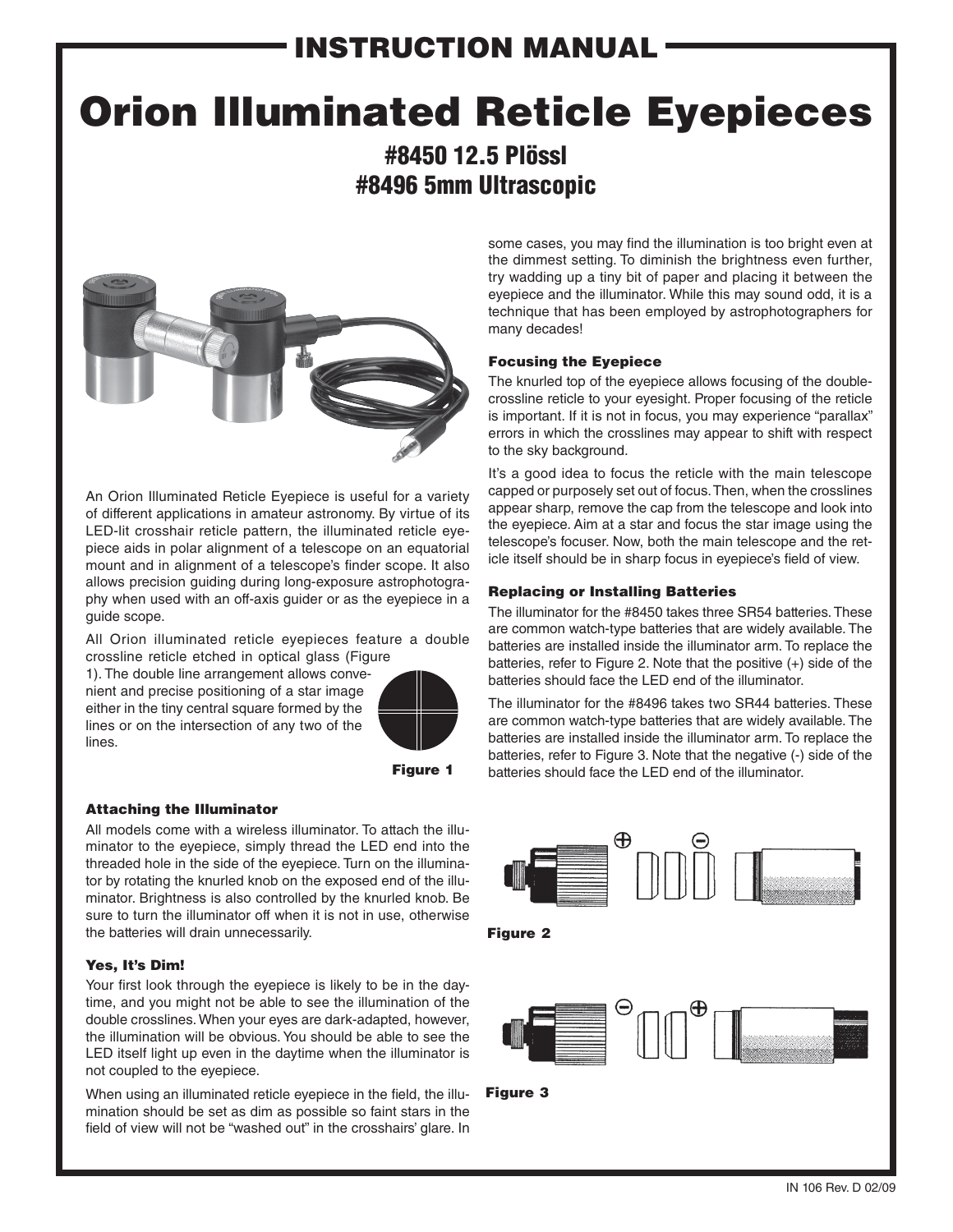## INSTRUCTION MANUAL

# Orion Illuminated Reticle Eyepieces

#8450 12.5 Plössl #8496 5mm Ultrascopic



An Orion Illuminated Reticle Eyepiece is useful for a variety of different applications in amateur astronomy. By virtue of its LED-lit crosshair reticle pattern, the illuminated reticle eyepiece aids in polar alignment of a telescope on an equatorial mount and in alignment of a telescope's finder scope. It also allows precision guiding during long-exposure astrophotography when used with an off-axis guider or as the eyepiece in a guide scope.

All Orion illuminated reticle eyepieces feature a double crossline reticle etched in optical glass (Figure

1). The double line arrangement allows convenient and precise positioning of a star image either in the tiny central square formed by the lines or on the intersection of any two of the lines.



Figure 1

#### Attaching the Illuminator

All models come with a wireless illuminator. To attach the illuminator to the eyepiece, simply thread the LED end into the threaded hole in the side of the eyepiece. Turn on the illuminator by rotating the knurled knob on the exposed end of the illuminator. Brightness is also controlled by the knurled knob. Be sure to turn the illuminator off when it is not in use, otherwise the batteries will drain unnecessarily.

#### Yes, It's Dim!

Your first look through the eyepiece is likely to be in the daytime, and you might not be able to see the illumination of the double crosslines. When your eyes are dark-adapted, however, the illumination will be obvious. You should be able to see the LED itself light up even in the daytime when the illuminator is not coupled to the eyepiece.

When using an illuminated reticle eyepiece in the field, the illumination should be set as dim as possible so faint stars in the field of view will not be "washed out" in the crosshairs' glare. In

some cases, you may find the illumination is too bright even at the dimmest setting. To diminish the brightness even further, try wadding up a tiny bit of paper and placing it between the eyepiece and the illuminator. While this may sound odd, it is a technique that has been employed by astrophotographers for many decades!

#### Focusing the Eyepiece

The knurled top of the eyepiece allows focusing of the doublecrossline reticle to your eyesight. Proper focusing of the reticle is important. If it is not in focus, you may experience "parallax" errors in which the crosslines may appear to shift with respect to the sky background.

It's a good idea to focus the reticle with the main telescope capped or purposely set out of focus. Then, when the crosslines appear sharp, remove the cap from the telescope and look into the eyepiece. Aim at a star and focus the star image using the telescope's focuser. Now, both the main telescope and the reticle itself should be in sharp focus in eyepiece's field of view.

#### Replacing or Installing Batteries

The illuminator for the #8450 takes three SR54 batteries. These are common watch-type batteries that are widely available. The batteries are installed inside the illuminator arm. To replace the batteries, refer to Figure 2. Note that the positive (+) side of the batteries should face the LED end of the illuminator.

The illuminator for the #8496 takes two SR44 batteries. These are common watch-type batteries that are widely available. The batteries are installed inside the illuminator arm. To replace the batteries, refer to Figure 3. Note that the negative (-) side of the batteries should face the LED end of the illuminator.